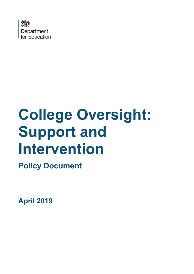

# **College Oversight: Support and Intervention**

**Policy Document**

**April 2019**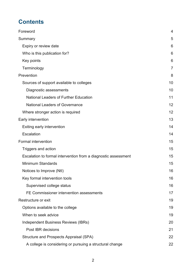# **Contents**

| Foreword                                                       | $\overline{4}$ |
|----------------------------------------------------------------|----------------|
| Summary                                                        | 5              |
| Expiry or review date                                          | 6              |
| Who is this publication for?                                   | 6              |
| Key points                                                     | 6              |
| Terminology                                                    | $\overline{7}$ |
| Prevention                                                     | 8              |
| Sources of support available to colleges                       | 10             |
| Diagnostic assessments                                         | 10             |
| <b>National Leaders of Further Education</b>                   | 11             |
| <b>National Leaders of Governance</b>                          | 12             |
| Where stronger action is required                              | 12             |
| Early intervention                                             | 13             |
| Exiting early intervention                                     | 14             |
| Escalation                                                     | 14             |
| <b>Formal intervention</b>                                     | 15             |
| Triggers and action                                            | 15             |
| Escalation to formal intervention from a diagnostic assessment | 15             |
| <b>Minimum Standards</b>                                       | 15             |
| Notices to Improve (Ntl)                                       | 16             |
| Key formal intervention tools                                  | 16             |
| Supervised college status                                      | 16             |
| FE Commissioner intervention assessments                       | 17             |
| Restructure or exit                                            | 19             |
| Options available to the college                               | 19             |
| When to seek advice                                            | 19             |
| Independent Business Reviews (IBRs)                            | 20             |
| Post IBR decisions                                             | 21             |
| Structure and Prospects Appraisal (SPA)                        | 22             |
| A college is considering or pursuing a structural change       | 22             |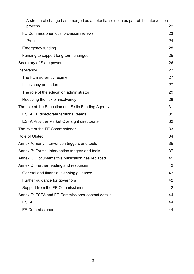| A structural change has emerged as a potential solution as part of the intervention<br>process | 22 |
|------------------------------------------------------------------------------------------------|----|
| FE Commissioner local provision reviews                                                        | 23 |
| <b>Process</b>                                                                                 | 24 |
| <b>Emergency funding</b>                                                                       | 25 |
| Funding to support long-term changes                                                           | 25 |
| Secretary of State powers                                                                      | 26 |
| Insolvency                                                                                     | 27 |
| The FE insolvency regime                                                                       | 27 |
| Insolvency procedures                                                                          | 27 |
| The role of the education administrator                                                        | 29 |
| Reducing the risk of insolvency                                                                | 29 |
| The role of the Education and Skills Funding Agency                                            | 31 |
| <b>ESFA FE directorate territorial teams</b>                                                   | 31 |
| <b>ESFA Provider Market Oversight directorate</b>                                              | 32 |
| The role of the FE Commissioner                                                                | 33 |
| Role of Ofsted                                                                                 | 34 |
| Annex A: Early Intervention triggers and tools                                                 | 35 |
| Annex B: Formal Intervention triggers and tools                                                | 37 |
| Annex C: Documents this publication has replaced                                               | 41 |
| Annex D: Further reading and resources                                                         | 42 |
| General and financial planning guidance                                                        | 42 |
| Further guidance for governors                                                                 | 42 |
| Support from the FE Commissioner                                                               | 42 |
| Annex E: ESFA and FE Commissioner contact details                                              | 44 |
| <b>ESFA</b>                                                                                    | 44 |
| <b>FE Commissioner</b>                                                                         | 44 |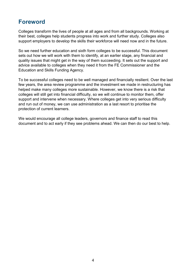## <span id="page-3-0"></span>**Foreword**

Colleges transform the lives of people at all ages and from all backgrounds. Working at their best, colleges help students progress into work and further study. Colleges also support employers to develop the skills their workforce will need now and in the future.

So we need further education and sixth form colleges to be successful. This document sets out how we will work with them to identify, at an earlier stage, any financial and quality issues that might get in the way of them succeeding. It sets out the support and advice available to colleges when they need it from the FE Commissioner and the Education and Skills Funding Agency.

To be successful colleges need to be well managed and financially resilient. Over the last few years, the area review programme and the investment we made in restructuring has helped make many colleges more sustainable. However, we know there is a risk that colleges will still get into financial difficulty, so we will continue to monitor them, offer support and intervene when necessary. Where colleges get into very serious difficulty and run out of money, we can use administration as a last resort to prioritise the protection of current learners.

We would encourage all college leaders, governors and finance staff to read this document and to act early if they see problems ahead. We can then do our best to help.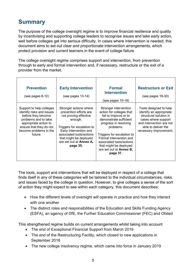# <span id="page-4-0"></span>**Summary**

The purpose of the college oversight regime is to improve financial resilience and quality by incentivising and supporting college leaders to recognise issues and take early action, well before colleges get into serious difficulty. In cases where intervention is needed, this document aims to set out clear and proportionate intervention arrangements, which protect provision and current learners in the event of college failure

The college oversight regime comprises support and intervention, from prevention through to early and formal intervention and, if necessary, restructure or the exit of a provider from the market.

| <b>Prevention</b><br>$(see pages 8-12)$                                                                                                                                                      | <b>Early Intervention</b><br>$(see pages 13-14)$                                                                                                                                                                                          | <b>Formal</b><br>Intervention<br>(see pages 15-18)                                                                                                                                                                                                                                               | <b>Restructure or Exit</b><br>$(see pages 19-30)$                                                                                                                               |
|----------------------------------------------------------------------------------------------------------------------------------------------------------------------------------------------|-------------------------------------------------------------------------------------------------------------------------------------------------------------------------------------------------------------------------------------------|--------------------------------------------------------------------------------------------------------------------------------------------------------------------------------------------------------------------------------------------------------------------------------------------------|---------------------------------------------------------------------------------------------------------------------------------------------------------------------------------|
| Support to help colleges<br>identify risks and issues<br>before they become<br>problems and to take<br>appropriate action to<br>ensure that they do not<br>become problems in the<br>future. | Stronger actions where<br>prevention efforts are<br>not proving effective<br>enough.<br>Triggers for escalation to<br>Early Intervention and<br>associated tools/actions<br>that might be deployed<br>are set out at Annex A,<br>page 35. | Stronger intervention<br>action for colleges that<br>fail to improve or to<br>demonstrate sufficient<br>progress in resolving<br>problems.<br>Triggers for escalation to<br>Formal Intervention and<br>associated tools/actions<br>that might be deployed<br>are set out at Annex B,<br>page 37. | Tools designed to help<br>identify an appropriate<br>structural solution in<br>cases where support<br>and intervention are not<br>able to deliver the<br>necessary improvement. |

The tools, support and interventions that will be deployed in respect of a college that finds itself in any of these categories will be tailored to the individual circumstances, risks and issues faced by the college in question. However, to give colleges a sense of the sort of action they might expect to see within each category, this document describes:

- How the different levels of oversight will operate in practice and how they interact with one another
- The distinct roles and responsibilities of the Education and Skills Funding Agency (ESFA), an agency of DfE, the Further Education Commissioner (FEC) and Ofsted

This strengthened regime builds on current arrangements whilst taking into account

- The end of Exceptional Financial Support from March 2019
- The end of the Restructuring Facility, which closed to new applications in September 2018
- The new college insolvency regime, which came into force in January 2019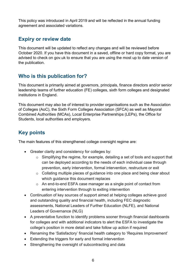This policy was introduced in April 2019 and will be reflected in the annual funding agreement and associated variations.

## <span id="page-5-0"></span>**Expiry or review date**

This document will be updated to reflect any changes and will be reviewed before October 2020. If you have this document in a saved, offline or hard copy format, you are advised to check on gov.uk to ensure that you are using the most up to date version of the publication.

## <span id="page-5-1"></span>**Who is this publication for?**

This document is primarily aimed at governors, principals, finance directors and/or senior leadership teams of further education (FE) colleges, sixth form colleges and designated institutions in England.

This document may also be of interest to provider organisations such as the Association of Colleges (AoC), the Sixth Form Colleges Association (SFCA) as well as Mayoral Combined Authorities (MCAs), Local Enterprise Partnerships (LEPs), the Office for Students, local authorities and employers.

# <span id="page-5-2"></span>**Key points**

The main features of this strengthened college oversight regime are:

- Greater clarity and consistency for colleges by:
	- o Simplifying the regime, for example, detailing a set of tools and support that can be deployed according to the needs of each individual case through prevention, early intervention, formal intervention, restructure or exit
	- o Collating multiple pieces of guidance into one place and being clear about which guidance this document replaces
	- o An end-to-end ESFA case manager as a single point of contact from entering intervention through to exiting intervention
- Continuation of key sources of support aimed at helping colleges achieve good and outstanding quality and financial health, including FEC diagnostic assessments, National Leaders of Further Education (NLFE), and National Leaders of Governance (NLG)
- A preventative function to identify problems sooner through financial dashboards for colleges and with additional indicators to alert the ESFA to investigate the college's position in more detail and take follow up action if required
- Renaming the 'Satisfactory' financial health category to 'Requires Improvement'
- Extending the triggers for early and formal intervention
- Strengthening the oversight of subcontracting and data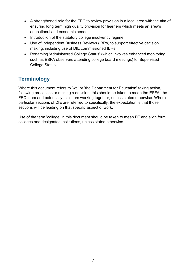- A strengthened role for the FEC to review provision in a local area with the aim of ensuring long term high quality provision for learners which meets an area's educational and economic needs
- Introduction of the statutory college insolvency regime
- Use of Independent Business Reviews (IBRs) to support effective decision making, including use of DfE commissioned IBRs
- Renaming 'Administered College Status' (which involves enhanced monitoring, such as ESFA observers attending college board meetings) to 'Supervised College Status'

# <span id="page-6-0"></span>**Terminology**

Where this document refers to 'we' or 'the Department for Education' taking action, following processes or making a decision, this should be taken to mean the ESFA, the FEC team and potentially ministers working together, unless stated otherwise. Where particular sections of DfE are referred to specifically, the expectation is that those sections will be leading on that specific aspect of work.

Use of the term 'college' in this document should be taken to mean FE and sixth form colleges and designated institutions, unless stated otherwise.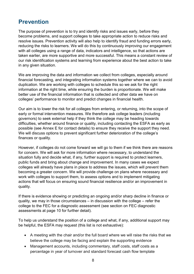# <span id="page-7-0"></span>**Prevention**

The purpose of prevention is to try and identify risks and issues early, before they become problems, and support colleges to take appropriate action to reduce risks and resolve issues. Prevention activity will also help to identify fraud and funding errors early, reducing the risks to learners. We will do this by continuously improving our engagement with all colleges using a range of data, indicators and intelligence, so that actions are taken earlier, are more supportive and more successful. This means a constant review of our risk identification systems and learning from experience about the best action to take in any given situation.

We are improving the data and information we collect from colleges, especially around financial forecasting, and integrating information systems together where we can to avoid duplication. We are working with colleges to schedule this so we ask for the right information at the right time, while ensuring the burden is proportionate. We will make better use of the financial information that is collected and other data we have on colleges' performance to monitor and predict changes in financial health.

Our aim is to lower the risk for all colleges from entering, or returning, into the scope of early or formal intervention measures. We therefore ask college leaders (including governors) to seek external help if they think the college may be heading towards difficulties, whether around finance or quality, including contacting the ESFA as early as possible (see Annex E for contact details) to ensure they receive the support they need. We will discuss options to prevent significant further deterioration of the college's finances or quality.

However, if colleges do not come forward we will go to them if we think there are reasons for concern. We will ask for more information where necessary, to understand the situation fully and decide what, if any, further support is required to protect learners, public funds and bring about change and improvement. In many cases we expect colleges will already have plans in place to address the issues, which will prevent them becoming a greater concern. We will provide challenge on plans where necessary and work with colleges to support them, to assess options and to implement mitigating actions that will focus on ensuring sound financial resilience and/or an improvement in quality.

If there is evidence showing or predicting an ongoing and/or sharp decline in finance or quality, we may in those circumstances – in discussion with the college – refer the college to the FEC for a diagnostic assessment (see section on FEC diagnostic assessments at page 10 for further detail).

To help us understand the position of a college and what, if any, additional support may be helpful, the ESFA may request (this list is not exhaustive):

- A meeting with the chair and/or the full board where we will raise the risks that we believe the college may be facing and explain the supporting evidence
- Management accounts, including commentary, staff costs, staff costs as a percentage in year of turnover and standard forecast cash flow template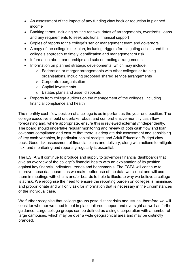- An assessment of the impact of any funding claw back or reduction in planned income
- Banking terms, including routine renewal dates of arrangements, overdrafts, loans and any requirements to seek additional financial support
- Copies of reports to the college's senior management team and governors
- A copy of the college's risk plan, including triggers for mitigating actions and the college's approach to timely identification and management of risk
- Information about partnerships and subcontracting arrangements
- Information on planned strategic developments, which may include:
	- o Federation or merger arrangements with other colleges or training organisations, including proposed shared service arrangements
	- o Corporate reorganisation
	- o Capital investments
	- o Estates plans and asset disposals
- Reports from college auditors on the management of the colleges, including financial compliance and health

The monthly cash flow position of a college is as important as the year end position. The college executive should undertake robust and comprehensive monthly cash flow forecasting and, where appropriate, ensure this is reviewed externally/independently. The board should undertake regular monitoring and review of both cash flow and loan covenant compliance and ensure that there is adequate risk assessment and sensitising of key cash variables, in particular capital receipts and Adult Education Budget claw back. Good risk assessment of financial plans and delivery, along with actions to mitigate risk, and monitoring and reporting regularly is essential.

The ESFA will continue to produce and supply to governors financial dashboards that give an overview of the college's financial health with an explanation of its position against key financial indicators, trends and benchmarks. The ESFA will continue to improve these dashboards as we make better use of the data we collect and will use them in meetings with chairs and/or boards to help to illustrate why we believe a college is at risk. We recognise the need to ensure the reporting burden on colleges is minimised and proportionate and will only ask for information that is necessary in the circumstances of the individual case.

We further recognise that college groups pose distinct risks and issues, therefore we will consider whether we need to put in place tailored support and oversight as well as further guidance. Large college groups can be defined as a single corporation with a number of large campuses, which may be over a wide geographical area and may be distinctly branded.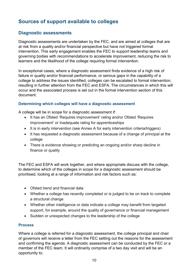## <span id="page-9-0"></span>**Sources of support available to colleges**

## <span id="page-9-1"></span>**Diagnostic assessments**

Diagnostic assessments are undertaken by the FEC, and are aimed at colleges that are at risk from a quality and/or financial perspective but have not triggered formal intervention. This early engagement enables the FEC to support leadership teams and governing bodies with recommendations to accelerate improvement, reducing the risk to learners and the likelihood of the college requiring formal intervention.

In exceptional cases, where a diagnostic assessment finds evidence of a high risk of failure in quality and/or financial performance, or serious gaps in the capability of a college to address the issues identified, colleges can be escalated to formal intervention, resulting in further attention from the FEC and ESFA. The circumstances in which this will occur and the associated process is set out in the formal intervention section of this document.

#### **Determining which colleges will have a diagnostic assessment**

A college will be in scope for a diagnostic assessment if:

- It has an Ofsted 'Requires Improvement' rating and/or Ofsted 'Requires Improvement' or Inadequate rating for apprenticeships
- It is in early intervention (see Annex A for early intervention criteria/triggers)
- It has requested a diagnostic assessment because of a change of principal at the college
- There is evidence showing or predicting an ongoing and/or sharp decline in finance or quality

The FEC and ESFA will work together, and where appropriate discuss with the college, to determine which of the colleges in scope for a diagnostic assessment should be prioritised, looking at a range of information and risk factors such as:

- Ofsted trend and financial data
- Whether a college has recently completed or is judged to be on track to complete a structural change
- Whether other intelligence or data indicate a college may benefit from targeted support, for example, around the quality of governance or financial management
- Sudden or unexpected changes to the leadership of the college

#### **Process**

Where a college is referred for a diagnostic assessment, the college principal and chair of governors will receive a letter from the FEC setting out the reasons for the assessment and confirming the agenda. A diagnostic assessment can be conducted by the FEC or a member of the FEC team. It will ordinarily comprise of a two day visit and will be an opportunity to: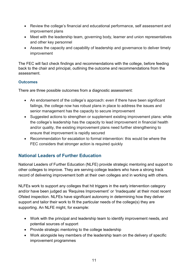- Review the college's financial and educational performance, self assessment and improvement plans
- Meet with the leadership team, governing body, learner and union representatives and other key personnel
- Assess the capacity and capability of leadership and governance to deliver timely improvement

The FEC will fact check findings and recommendations with the college, before feeding back to the chair and principal, outlining the outcome and recommendations from the assessment.

#### **Outcomes**

There are three possible outcomes from a diagnostic assessment:

- An endorsement of the college's approach: even if there have been significant failings, the college now has robust plans in place to address the issues and senior management has the capacity to secure improvement
- Suggested actions to strengthen or supplement existing improvement plans: while the college's leadership has the capacity to lead improvement in financial health and/or quality, the existing improvement plans need further strengthening to ensure that improvement is rapidly secured
- Recommendation for escalation to formal intervention: this would be where the FEC considers that stronger action is required quickly

## <span id="page-10-0"></span>**National Leaders of Further Education**

National Leaders of Further Education (NLFE) provide strategic mentoring and support to other colleges to improve. They are serving college leaders who have a strong track record of delivering improvement both at their own colleges and in working with others.

NLFEs work to support any colleges that hit triggers in the early intervention category and/or have been judged as 'Requires Improvement' or 'Inadequate' at their most recent Ofsted inspection. NLFEs have significant autonomy in determining how they deliver support and tailor their work to fit the particular needs of the college(s) they are supporting. An NLFE might, for example:

- Work with the principal and leadership team to identify improvement needs, and potential sources of support
- Provide strategic mentoring to the college leadership
- Work alongside key members of the leadership team on the delivery of specific improvement programmes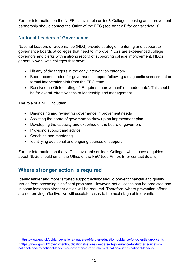Further information on the NLFEs is available online<sup>1</sup>. Colleges seeking an improvement partnership should contact the Office of the FEC (see Annex E for contact details).

## <span id="page-11-0"></span>**National Leaders of Governance**

National Leaders of Governance (NLG) provide strategic mentoring and support to governance boards at colleges that need to improve. NLGs are experienced college governors and clerks with a strong record of supporting college improvement. NLGs generally work with colleges that have:

- Hit any of the triggers in the early intervention category
- Been recommended for governance support following a diagnostic assessment or formal intervention visit from the FEC team
- Received an Ofsted rating of 'Requires Improvement' or 'Inadequate'. This could be for overall effectiveness or leadership and management

The role of a NLG includes:

- Diagnosing and reviewing governance improvement needs
- Assisting the board of governors to draw up an improvement plan
- Developing the capacity and expertise of the board of governors
- Providing support and advice
- Coaching and mentoring
- Identifying additional and ongoing sources of support

Further information on the NLGs is available online<sup>2</sup>. Colleges which have enquiries about NLGs should email the Office of the FEC (see Annex E for contact details).

## <span id="page-11-1"></span>**Where stronger action is required**

Ideally earlier and more targeted support activity should prevent financial and quality issues from becoming significant problems. However, not all cases can be predicted and in some instances stronger action will be required. Therefore, where prevention efforts are not proving effective, we will escalate cases to the next stage of intervention.

<sup>&</sup>lt;u>.</u> <sup>1</sup> <https://www.gov.uk/guidance/national-leaders-of-further-education-guidance-for-potential-applicants>

<span id="page-11-3"></span><span id="page-11-2"></span><sup>2</sup> [https://www.gov.uk/government/publications/national-leaders-of-governance-for-further-education](https://www.gov.uk/government/publications/national-leaders-of-governance-for-further-education-national-leaders/national-leaders-of-governance-for-further-education-current-national-leaders)[national-leaders/national-leaders-of-governance-for-further-education-current-national-leaders](https://www.gov.uk/government/publications/national-leaders-of-governance-for-further-education-national-leaders/national-leaders-of-governance-for-further-education-current-national-leaders)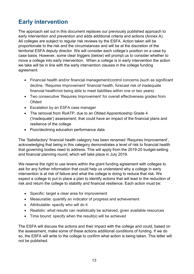# <span id="page-12-0"></span>**Early intervention**

The approach set out in this document replaces our previously published approach to early intervention and prevention and adds additional criteria and actions (Annex A). All colleges are subject to regular risk reviews by the ESFA. Action taken will be proportionate to the risk and the circumstances and will be at the discretion of the territorial ESFA deputy director. We will consider each college's position on a case by case basis. However, some clear triggers (below) will prompt us to consider whether to move a college into early intervention. When a college is in early intervention the action we take will be in line with the early intervention clauses in the college funding agreement.

- Financial health and/or financial management/control concerns (such as significant decline, 'Requires Improvement' financial health, forecast risk of inadequate financial health/not being able to meet liabilities within one or two years)
- Two consecutive 'Requires Improvement' for overall effectiveness grades from **Ofsted**
- Escalation by an ESFA case manager
- The removal from RoATP, due to an Ofsted Apprenticeship Grade 4 ('Inadequate') assessment, that could have an impact of the financial plans and resilience of the college
- Poor/declining education performance data

The 'Satisfactory' financial health category has been renamed 'Requires Improvement', acknowledging that being in this category demonstrates a level of risk to financial health that governing bodies need to address. This will apply from the 2019-20 budget-setting and financial planning round, which will take place in July 2019.

We reserve the right to use levers within the grant funding agreement with colleges to ask for any further information that could help us understand why a college in early intervention is at risk of failure and what the college is doing to reduce that risk. We expect a college to put in place a plan to identify actions that will lead to the reduction of risk and return the college to stability and financial resilience. Each action must be:

- Specific: target a clear area for improvement
- Measurable: quantify an indicator of progress and achievement
- Attributable: specify who will do it
- Realistic: what results can realistically be achieved, given available resources
- Time bound: specify when the result(s) will be achieved

The ESFA will discuss the actions and their impact with the college and could, based on the assessment, make some of these actions additional conditions of funding. If we do so, the ESFA will write to the college to confirm what action is being taken. This letter will not be published.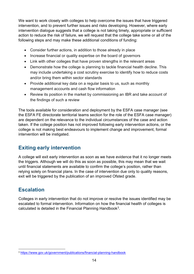We want to work closely with colleges to help overcome the issues that have triggered intervention, and to prevent further issues and risks developing. However, where early intervention dialogue suggests that a college is not taking timely, appropriate or sufficient action to reduce the risk of failure, we will request that the college take some or all of the following steps and may make these additional conditions of funding:

- Consider further actions, in addition to those already in place
- Increase financial or quality expertise on the board of governors
- Link with other colleges that have proven strengths in the relevant areas
- Demonstrate how the college is planning to tackle financial health decline. This may include undertaking a cost scrutiny exercise to identify how to reduce costs and/or bring them within sector standards
- Provide additional key data on a regular basis to us, such as monthly management accounts and cash flow information
- Review its position in the market by commissioning an IBR and take account of the findings of such a review

The tools available for consideration and deployment by the ESFA case manager (see the ESFA FE directorate territorial teams section for the role of the ESFA case manager) are dependent on the relevance to the individual circumstances of the case and action taken. If the college position has not improved following early intervention actions, or the college is not making best endeavours to implement change and improvement, formal intervention will be instigated.

## <span id="page-13-0"></span>**Exiting early intervention**

A college will exit early intervention as soon as we have evidence that it no longer meets the triggers. Although we will do this as soon as possible, this may mean that we wait until financial statements are available to confirm the college's position, rather than relying solely on financial plans. In the case of intervention due only to quality reasons, exit will be triggered by the publication of an improved Ofsted grade.

## <span id="page-13-1"></span>**Escalation**

 $\overline{\phantom{a}}$ 

Colleges in early intervention that do not improve or resolve the issues identified may be escalated to formal intervention. Information on how the financial health of colleges is calculated is detailed in the Financial Planning Handbook<sup>[3](#page-13-2)</sup>.

<span id="page-13-2"></span><sup>3</sup> <https://www.gov.uk/government/publications/financial-planning-handbook>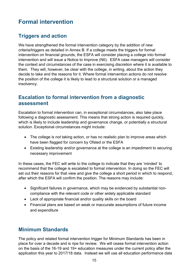# <span id="page-14-0"></span>**Formal intervention**

## <span id="page-14-1"></span>**Triggers and action**

We have strengthened the formal intervention category by the addition of new criteria/triggers as detailed in Annex B. If a college meets the triggers for formal intervention on financial grounds, the ESFA will consider placing a college into formal intervention and will issue a Notice to Improve (NtI). ESFA case managers will consider the context and circumstances of the case in exercising discretion where it is available to them. They will, however, be clear with the college, in writing, about the action they decide to take and the reasons for it. Where formal intervention actions do not resolve the position of the college it is likely to lead to a structural solution or a managed insolvency.

## <span id="page-14-2"></span>**Escalation to formal intervention from a diagnostic assessment**

Escalation to formal intervention can, in exceptional circumstances, also take place following a diagnostic assessment. This means that strong action is required quickly, which is likely to include leadership and governance change, or potentially a structural solution. Exceptional circumstances might include:

- The college is not taking action, or has no realistic plan to improve areas which have been flagged for concern by Ofsted or the ESFA
- Existing leadership and/or governance at the college is an impediment to securing necessary improvement

In these cases, the FEC will write to the college to indicate that they are 'minded' to recommend that the college is escalated to formal intervention. In doing so the FEC will set out their reasons for that view and give the college a short period in which to respond, after which the ESFA will confirm the position. The reasons may include:

- Significant failures in governance, which may be evidenced by substantial noncompliance with the relevant code or other widely applicable standard
- Lack of appropriate financial and/or quality skills on the board
- Financial plans are based on weak or inaccurate assumptions of future income and expenditure

## <span id="page-14-3"></span>**Minimum Standards**

The policy and related formal intervention trigger for Minimum Standards has been in place for over a decade and is ripe for review. We will cease formal intervention action on the basis of the 16-19 and 19+ education measures under the current policy after the application this year to 2017/18 data. Instead we will use all education performance data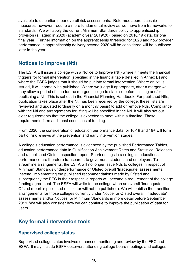available to us earlier in our overall risk assessments. Reformed apprenticeship measures, however, require a more fundamental review as we move from frameworks to standards. We will apply the current Minimum Standards policy to apprenticeship provision (all ages) in 2020 (academic year 2019/20), based on 2018/19 data, for one final year. Further information on the apprenticeship threshold for 2020 and how provider performance in apprenticeship delivery beyond 2020 will be considered will be published later in the year.

## <span id="page-15-0"></span>**Notices to Improve (NtI)**

The ESFA will issue a college with a Notice to Improve (NtI) where it meets the financial triggers for formal intervention (specified in the financial table detailed in Annex B) and where the ESFA judges that it should be put into formal intervention. Where an NtI is issued, it will normally be published. Where we judge it appropriate, after a merger we may allow a period of time for the merged college to stabilise before issuing and/or publishing a NtI. This is set out in the Financial Planning Handbook. For published NtIs, publication takes place after the NtI has been received by the college; these lists are reviewed and updated (ordinarily on a monthly basis) to add or remove NtIs. Compliance with the NtI and arrangements for lifting will be specified in the NtI. It will also set out clear requirements that the college is expected to meet within a timeline. These requirements form additional conditions of funding.

From 2020, the consideration of education performance data for 16-19 and 19+ will form part of risk reviews at the prevention and early intervention stages.

A college's education performance is evidenced by the published Performance Tables, education performance data in Qualification Achievement Rates and Statistical Releases and a published Ofsted inspection report. Shortcomings in a college's educational performance are therefore transparent to governors, students and employers. To streamline arrangements, the ESFA will no longer issue NtIs to colleges in respect of Minimum Standards underperformance or Ofsted overall 'Inadequate' assessments. Instead, implementing the published recommendations made by Ofsted and subsequently the FEC in their respective reports will become a requirement of the college funding agreement. The ESFA will write to the college when an overall 'Inadequate' Ofsted report is published (this letter will not be published). We will publish the transition arrangements for those colleges currently under Notice for Ofsted overall 'Inadequate' assessments and/or Notices for Minimum Standards in more detail before September 2019. We will also consider how we can continue to improve the publication of data for users.

## <span id="page-15-1"></span>**Key formal intervention tools**

#### <span id="page-15-2"></span>**Supervised college status**

Supervised college status involves enhanced monitoring and review by the FEC and ESFA. It may include ESFA observers attending college board meetings and colleges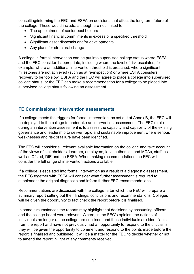consulting/informing the FEC and ESFA on decisions that affect the long term future of the college. These would include, although are not limited to:

- The appointment of senior post holders
- Significant financial commitments in excess of a specified threshold
- Significant asset disposals and/or developments
- Any plans for structural change

A college in formal intervention can be put into supervised college status where ESFA and the FEC consider it appropriate, including where the level of risk escalates, for example, where an additional intervention threshold is breached, where significant milestones are not achieved (such as at re-inspection) or where ESFA considers recovery to be too slow. ESFA and the FEC will agree to place a college into supervised college status, or the FEC can make a recommendation for a college to be placed into supervised college status following an assessment.

#### <span id="page-16-0"></span>**FE Commissioner intervention assessments**

If a college meets the triggers for formal intervention, as set out at Annex B, the FEC will be deployed to the college to undertake an intervention assessment. The FEC's role during an intervention assessment is to assess the capacity and capability of the existing governance and leadership to deliver rapid and sustainable improvement where serious weaknesses and risk of failure have been identified.

The FEC will consider all relevant available information on the college and take account of the views of stakeholders, learners, employers, local authorities and MCAs, staff, as well as Ofsted, DfE and the ESFA. When making recommendations the FEC will consider the full range of intervention actions available.

If a college is escalated into formal intervention as a result of a diagnostic assessment, the FEC together with ESFA will consider what further assessment is required to supplement the original diagnostic and inform further FEC recommendations.

Recommendations are discussed with the college, after which the FEC will prepare a summary report setting out their findings, conclusions and recommendations. Colleges will be given the opportunity to fact check the report before it is finalised.

In some circumstances the reports may highlight that decisions by accounting officers and the college board were relevant. Where, in the FEC's opinion, the actions of individuals no longer at the college are criticised, and those individuals are identifiable from the report and have not previously had an opportunity to respond to the criticisms, they will be given the opportunity to comment and respond to the points made before the report is finalised and published. It will be a matter for the FEC to decide whether or not to amend the report in light of any comments received.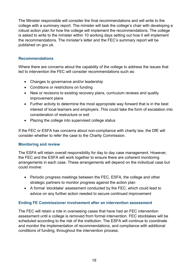The Minister responsible will consider the final recommendations and will write to the college with a summary report. The minister will task the college's chair with developing a robust action plan for how the college will implement the recommendations. The college is asked to write to the minister within 10 working days setting out how it will implement the recommendations. The minister's letter and the FEC's summary report will be published on gov.uk.

#### **Recommendations**

Where there are concerns about the capability of the college to address the issues that led to intervention the FEC will consider recommendations such as:

- Changes to governance and/or leadership
- Conditions or restrictions on funding
- New or revisions to existing recovery plans, curriculum reviews and quality improvement plans
- Further activity to determine the most appropriate way forward that is in the best interest of local learners and employers. This could take the form of escalation into consideration of restructure or exit
- Placing the college into supervised college status

If the FEC or ESFA has concerns about non-compliance with charity law, the DfE will consider whether to refer the case to the Charity Commission.

#### **Monitoring and review**

The ESFA will retain overall responsibility for day to day case management. However, the FEC and the ESFA will work together to ensure there are coherent monitoring arrangements in each case. These arrangements will depend on the individual case but could involve:

- Periodic progress meetings between the FEC, ESFA, the college and other strategic partners to monitor progress against the action plan
- A formal 'stocktake' assessment conducted by the FEC, which could lead to advice on any further action needed to secure continued improvement

#### **Ending FE Commissioner involvement after an intervention assessment**

The FEC will retain a role in overseeing cases that have had an FEC intervention assessment until a college is removed from formal intervention. FEC stocktakes will be scheduled according to the risk of the institution. The ESFA will continue to coordinate and monitor the implementation of recommendations, and compliance with additional conditions of funding, throughout the intervention process.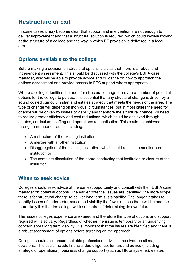# <span id="page-18-0"></span>**Restructure or exit**

In some cases it may become clear that support and intervention are not enough to deliver improvement and that a structural solution is required, which could involve looking at the structure of a college and the way in which FE provision is delivered in a local area.

## <span id="page-18-1"></span>**Options available to the college**

Before making a decision on structural options it is vital that there is a robust and independent assessment. This should be discussed with the college's ESFA case manager, who will be able to provide advice and guidance on how to approach the options assessment and provide access to FEC support where appropriate.

Where a college identifies the need for structural change there are a number of potential options for the college to pursue. It is essential that any structural change is driven by a sound costed curriculum plan and estates strategy that meets the needs of the area. The type of change will depend on individual circumstances, but in most cases the need for change will be driven by issues of viability and therefore the structural change will need to realise greater efficiency and cost reductions, which could be achieved through estates, curriculum, staffing and operations rationalisation. This could be achieved through a number of routes including:

- A restructure of the existing institution
- A merger with another institution
- Disaggregation of the existing institution, which could result in a smaller core institution or
- The complete dissolution of the board conducting that institution or closure of the institution

## <span id="page-18-2"></span>**When to seek advice**

Colleges should seek advice at the earliest opportunity and consult with their ESFA case manager on potential options. The earlier potential issues are identified, the more scope there is for structural change to deliver long term sustainability. The longer it takes to identify issues of underperformance and viability the fewer options there will be and the more likely it is that the college will lose control of determining its own future.

The issues colleges experience are varied and therefore the type of options and support required will also vary. Regardless of whether the issue is temporary or an underlying concern about long term viability, it is important that the issues are identified and there is a robust assessment of options before agreeing on the approach.

Colleges should also ensure suitable professional advice is received on all major decisions. This could include financial due diligence, turnaround advice (including strategic or operational), business change support (such as HR or systems), estates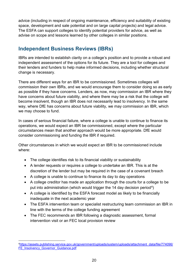advice (including in respect of ongoing maintenance, efficiency and suitability of existing space, development and sale potential and on large capital projects) and legal advice. The ESFA can support colleges to identify potential providers for advice, as well as advise on scope and lessons learned by other colleges in similar positions.

## <span id="page-19-0"></span>**Independent Business Reviews (IBRs)**

IBRs are intended to establish clarity on a college's position and to provide a robust and independent assessment of the options for its future. They are a tool for colleges and their lenders and funders to help make informed decisions, including whether structural change is necessary.

There are different ways for an IBR to be commissioned. Sometimes colleges will commission their own IBRs, and we would encourage them to consider doing so as early as possible if they have concerns. Lenders, as now, may commission an IBR where they have concerns about future viability, and where there may be a risk that the college will become insolvent, though an IBR does not necessarily lead to insolvency. In the same way, where DfE has concerns about future viability, we may commission an IBR, which we may choose to fund.

In cases of serious financial failure, where a college is unable to continue to finance its operations, we would expect an IBR be commissioned, except where the particular circumstances mean that another approach would be more appropriate. DfE would consider commissioning and funding the IBR if required.

Other circumstances in which we would expect an IBR to be commissioned include where:

- The college identifies risk to its financial viability or sustainability
- A lender requests or requires a college to undertake an IBR. This is at the discretion of the lender but may be required in the case of a covenant breach
- A college is unable to continue to finance its day to day operations
- A college creditor has made an application through the courts for a college to be put into administration (which would trigger the 14 day decision period<sup>4</sup>)
- A college is identified by the ESFA forecast model as likely to be financially inadequate in the next academic year
- The ESFA intervention team or specialist restructuring team commission an IBR in line with the terms of the college funding agreement
- The FEC recommends an IBR following a diagnostic assessment, formal intervention visit or an FEC local provision review

<span id="page-19-1"></span>**<sup>.</sup>** [4https://assets.publishing.service.gov.uk/government/uploads/system/uploads/attachment\\_data/file/774096/](https://assets.publishing.service.gov.uk/government/uploads/system/uploads/attachment_data/file/774096/FE_Insolvency_Governor_Guidance.pdf) [FE\\_Insolvency\\_Governor\\_Guidance.pdf](https://assets.publishing.service.gov.uk/government/uploads/system/uploads/attachment_data/file/774096/FE_Insolvency_Governor_Guidance.pdf)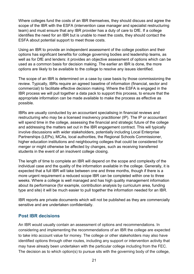Where colleges fund the costs of an IBR themselves, they should discuss and agree the scope of the IBR with the ESFA (intervention case manager and specialist restructuring team) and must ensure that any IBR provider has a duty of care to DfE. If a college identifies the need for an IBR but is unable to meet the costs, they should contact the ESFA about potential support to meet those costs.

Using an IBR to provide an independent assessment of the college position and their options has significant benefits for college governing bodies and leadership teams, as well as for DfE and lenders: it provides an objective assessment of options which can be used as a common basis for decision making. The earlier an IBR is done, the more options are likely to be available to the college to resolve any issues identified.

The scope of an IBR is determined on a case by case basis by those commissioning the review. Typically, IBRs require an agreed baseline of information (financial, sector and commercial) to facilitate effective decision making. Where the ESFA is engaged in the IBR process we will pull together a data pack to support this process, to ensure that the appropriate information can be made available to make the process as effective as possible.

IBRs are usually conducted by an accountant specialising in financial reviews and restructuring who may be a licensed insolvency practitioner (IP). The IP or accountant will spend time in the college, assessing the financial and strategic future of the college and addressing the matters set out in the IBR engagement contract. This will typically involve discussions with wider stakeholders, potentially including Local Enterprise Partnerships (LEPs), MCAs, local authorities, the Regional Schools Commissioner, higher education institutions and neighbouring colleges that could be considered for merger or might otherwise be affected by changes, such as receiving transferred students in the event of an insolvent college closing.

The length of time to complete an IBR will depend on the scope and complexity of the individual case and the quality of the information available in the college. Generally, it is expected that a full IBR will take between one and three months, though if there is a more urgent requirement a reduced scope IBR can be completed within one to three weeks. Where a college is well managed and has high quality management information about its performance (for example, contribution analysis by curriculum area, funding type and site) it will be much easier to pull together the information needed for an IBR.

IBR reports are private documents which will not be published as they are commercially sensitive and are undertaken confidentially.

## <span id="page-20-0"></span>**Post IBR decisions**

An IBR would usually contain an assessment of options and recommendations. In considering and implementing the recommendations of an IBR the college are expected to take into account value for money. The college or other stakeholders may also have identified options through other routes, including any support or intervention activity that may have already been undertaken with the particular college including from the FEC. The decision as to which option(s) to pursue sits with the governing body of the college,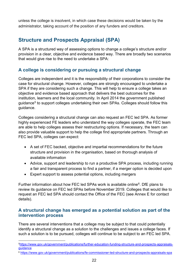unless the college is insolvent, in which case these decisions would be taken by the administrator, taking account of the position of any funders and creditors.

## <span id="page-21-0"></span>**Structure and Prospects Appraisal (SPA)**

A SPA is a structured way of assessing options to change a college's structure and/or provision in a clear, objective and evidence based way. There are broadly two scenarios that would give rise to the need to undertake a SPA:

## <span id="page-21-1"></span>**A college is considering or pursuing a structural change**

Colleges are independent and it is the responsibility of their corporations to consider the case for structural change. However, colleges are strongly encouraged to undertake a SPA if they are considering such a change. This will help to ensure a college takes an objective and evidence based approach that delivers the best outcomes for the institution, learners and the local community. In April 2014 the government published guidance<sup>[5](#page-21-3)</sup> to support colleges undertaking their own SPAs. Colleges should follow this guidance.

Colleges considering a structural change can also request an FEC led SPA. As former highly experienced FE leaders who understand the way colleges operate, the FEC team are able to help colleges assess their restructuring options. If necessary, the team can also provide valuable support to help the college find appropriate partners. Through an FEC led SPA, colleges can expect:

- A set of FEC backed, objective and impartial recommendations for the future structure and provision in the organisation, based on thorough analysis of available information
- Advice, support and leadership to run a productive SPA process, including running a fair and transparent process to find a partner, if a merger option is decided upon
- Expert support to assess potential options, including mergers

**.** 

Further information about how FEC led SPAs work is available online<sup>6</sup>. DfE plans to review its guidance on FEC led SPAs before November 2019. Colleges that would like to request an FEC led SPA should contact the Office of the FEC (see Annex E for contact details).

#### <span id="page-21-2"></span>**A structural change has emerged as a potential solution as part of the intervention process**

There are several interventions that a college may be subject to that could potentially identify a structural change as a solution to the challenges and issues a college faces. If such a solution is to be pursued, colleges will continue to be subject to an FEC led SPA.

<span id="page-21-3"></span>[<sup>5</sup>https://www.gov.uk/government/publications/further-education-funding-structure-and-prospects-appraisals](https://www.gov.uk/government/publications/further-education-funding-structure-and-prospects-appraisals-guidance)[guidance](https://www.gov.uk/government/publications/further-education-funding-structure-and-prospects-appraisals-guidance)

<span id="page-21-4"></span><sup>6</sup> <https://www.gov.uk/government/publications/fe-commissioner-led-structure-and-prospects-appraisals-spa>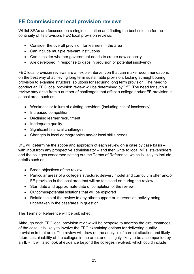## <span id="page-22-0"></span>**FE Commissioner local provision reviews**

Whilst SPAs are focussed on a single institution and finding the best solution for the continuity of its provision, FEC local provision reviews:

- Consider the overall provision for learners in the area
- Can include multiple relevant institutions
- Can consider whether government needs to create new capacity
- Are developed in response to gaps in provision or potential insolvency

FEC local provision reviews are a flexible intervention that can make recommendations on the best way of achieving long term sustainable provision, looking at neighbouring provision to examine structural solutions for securing long term provision. The need to conduct an FEC local provision review will be determined by DfE. The need for such a review may arise from a number of challenges that affect a college and/or FE provision in a local area, such as:

- Weakness or failure of existing providers (including risk of insolvency)
- Increased competition
- Declining learner recruitment
- Inadequate quality
- Significant financial challenges
- Changes in local demographics and/or local skills needs

DfE will determine the scope and approach of each review on a case by case basis – with input from any prospective administrator – and then write to local MPs, stakeholders and the colleges concerned setting out the Terms of Reference, which is likely to include details such as:

- Broad objectives of the review
- Particular areas of a college's structure, delivery model and curriculum offer and/or FE provision in the local area that will be focussed on during the review
- Start date and approximate date of completion of the review
- Outcomes/potential solutions that will be explored
- Relationship of the review to any other support or intervention activity being undertaken in the case/area in question

The Terms of Reference will be published.

Although each FEC local provision review will be bespoke to address the circumstances of the case, it is likely to involve the FEC examining options for delivering quality provision in that area. The review will draw on the analysis of current situation and likely future sustainability of the colleges in the area, and is highly likely to be accompanied by an IBR. It will also look at evidence beyond the colleges involved, which could include: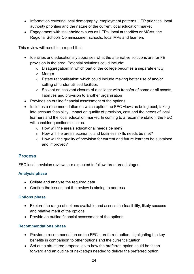- Information covering local demography, employment patterns, LEP priorities, local authority priorities and the nature of the current local education market
- Engagement with stakeholders such as LEPs, local authorities or MCAs, the Regional Schools Commissioner, schools, local MPs and learners

This review will result in a report that:

- Identifies and educationally appraises what the alternative solutions are for FE provision in the area. Potential solutions could include:
	- o Disaggregation: in which part of the college becomes a separate entity
	- o Merger
	- o Estate rationalisation: which could include making better use of and/or selling off under utilised facilities
	- o Solvent or insolvent closure of a college: with transfer of some or all assets, liabilities and provision to another organisation
- Provides an outline financial assessment of the options
- Includes a recommendation on which option the FEC views as being best, taking into account feasibility, impact on quality of provision, cost and the needs of local learners and the local education market. In coming to a recommendation, the FEC will consider questions such as:
	- $\circ$  How will the area's educational needs be met?
	- o How will the area's economic and business skills needs be met?
	- o How will the quality of provision for current and future learners be sustained and improved?

## <span id="page-23-0"></span>**Process**

FEC local provision reviews are expected to follow three broad stages.

#### **Analysis phase**

- Collate and analyse the required data
- Confirm the issues that the review is aiming to address

#### **Options phase**

- Explore the range of options available and assess the feasibility, likely success and relative merit of the options
- Provide an outline financial assessment of the options

#### **Recommendations phase**

- Provide a recommendation on the FEC's preferred option, highlighting the key benefits in comparison to other options and the current situation
- Set out a structured proposal as to how the preferred option could be taken forward and an outline of next steps needed to deliver the preferred option.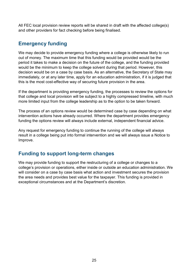All FEC local provision review reports will be shared in draft with the affected college(s) and other providers for fact checking before being finalised.

## <span id="page-24-0"></span>**Emergency funding**

We may decide to provide emergency funding where a college is otherwise likely to run out of money. The maximum time that this funding would be provided would be the period it takes to make a decision on the future of the college, and the funding provided would be the minimum to keep the college solvent during that period. However, this decision would be on a case by case basis. As an alternative, the Secretary of State may immediately, or at any later time, apply for an education administration, if it is judged that this is the most cost-effective way of securing future provision in the area.

If the department is providing emergency funding, the processes to review the options for that college and local provision will be subject to a highly compressed timeline, with much more limited input from the college leadership as to the option to be taken forward.

The process of an options review would be determined case by case depending on what intervention actions have already occurred. Where the department provides emergency funding the options review will always include external, independent financial advice.

Any request for emergency funding to continue the running of the college will always result in a college being put into formal intervention and we will always issue a Notice to Improve.

## <span id="page-24-1"></span>**Funding to support long-term changes**

We may provide funding to support the restructuring of a college or changes to a college's provision or operations, either inside or outside an education administration. We will consider on a case by case basis what action and investment secures the provision the area needs and provides best value for the taxpayer. This funding is provided in exceptional circumstances and at the Department's discretion.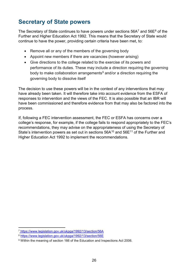# <span id="page-25-0"></span>**Secretary of State powers**

The Secretary of State continues to have powers under sections  $56A<sup>7</sup>$  $56A<sup>7</sup>$  $56A<sup>7</sup>$  and  $56E<sup>8</sup>$  $56E<sup>8</sup>$  $56E<sup>8</sup>$  of the Further and Higher Education Act 1992. This means that the Secretary of State would continue to have the power, providing certain criteria have been met, to:

- Remove all or any of the members of the governing body
- Appoint new members if there are vacancies (however arising)
- Give directions to the college related to the exercise of its powers and performance of its duties. These may include a direction requiring the governing body to make collaboration arrangements<sup>[9](#page-25-3)</sup> and/or a direction requiring the governing body to dissolve itself

The decision to use these powers will be in the context of any interventions that may have already been taken. It will therefore take into account evidence from the ESFA of responses to intervention and the views of the FEC. It is also possible that an IBR will have been commissioned and therefore evidence from that may also be factored into the process.

If, following a FEC intervention assessment, the FEC or ESFA has concerns over a college's response, for example, if the college fails to respond appropriately to the FEC's recommendations, they may advise on the appropriateness of using the Secretary of State's intervention powers as set out in sections  $56A^{10}$  and  $56E^{11}$  $56E^{11}$  $56E^{11}$  of the Further and Higher Education Act 1992 to implement the recommendations.

<sup>&</sup>lt;u>.</u> <sup>7</sup> <https://www.legislation.gov.uk/ukpga/1992/13/section/56A>

<span id="page-25-2"></span><span id="page-25-1"></span><sup>8</sup> <https://www.legislation.gov.uk/ukpga/1992/13/section/56E>

<span id="page-25-5"></span><span id="page-25-4"></span><span id="page-25-3"></span><sup>9</sup> Within the meaning of section 166 of the Education and Inspections Act 2006.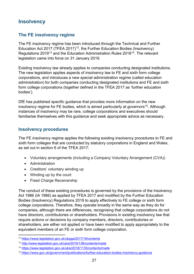## <span id="page-26-0"></span>**Insolvency**

## <span id="page-26-1"></span>**The FE insolvency regime**

The FE insolvency regime has been introduced through the Technical and Further Education Act 2017 (TFEA 2017)<sup>[12](#page-26-3)</sup>, the Further Education Bodies (Insolvency) Regulations 2019<sup>[13](#page-26-4)</sup> and the Education Administration Rules 2018<sup>14</sup>. The relevant legislation came into force on 31 January 2019.

Existing insolvency law already applies to companies conducting designated institutions. The new legislation applies aspects of insolvency law to FE and sixth form college corporations, and introduces a new special administration regime (called education administration) for both companies conducting designated institutions and FE and sixth form college corporations (together defined in the TFEA 2017 as 'further education bodies').

DfE has published specific guidance that provides more information on the new insolvency regime for FE bodies, which is aimed particularly at governors<sup>15</sup>. Although instances of insolvency may be rare, college corporations and executives should familiarise themselves with this guidance and seek appropriate advice as necessary.

#### <span id="page-26-2"></span>**Insolvency procedures**

The FE insolvency regime applies the following existing insolvency procedures to FE and sixth form colleges that are conducted by statutory corporations in England and Wales, as set out in section 6 of the TFEA 2017:

- Voluntary arrangements (including a Company Voluntary Arrangement (CVA))
- Administration

<u>.</u>

- Creditors' voluntary winding up
- Winding up by the court
- Fixed Charge Receivership

The conduct of these existing procedures is governed by the provisions of the Insolvency Act 1986 (IA 1986) as applied by TFEA 2017 and modified by the Further Education Bodies (Insolvency) Regulations 2019 to apply effectively to FE college or sixth form college corporations. Therefore, they operate broadly in the same way as they do for companies, although there are differences, recognising that college corporations do not have directors, contributories or shareholders. Provisions in existing insolvency law that require actions or decisions by company members, directors, contributories or shareholders, are either not applied or have been modified to apply appropriately to the equivalent members of an FE or sixth form college corporation.

<span id="page-26-3"></span><sup>12</sup> <https://www.legislation.gov.uk/ukpga/2017/19/contents>

<span id="page-26-4"></span><sup>13</sup> <http://www.legislation.gov.uk/uksi/2019/138/contents/made>

<span id="page-26-5"></span><sup>14</sup> <https://www.legislation.gov.uk/uksi/2018/1135/contents/made>

<span id="page-26-6"></span><sup>15</sup> <https://www.gov.uk/government/publications/further-education-bodies-insolvency-guidance>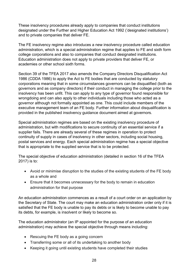These insolvency procedures already apply to companies that conduct institutions designated under the Further and Higher Education Act 1992 ('designated institutions') and to private companies that deliver FE.

The FE insolvency regime also introduces a new insolvency procedure called education administration, which is a special administration regime that applies to FE and sixth form college corporations and also to companies that conduct designated institutions. Education administration does not apply to private providers that deliver FE, or academies or other school sixth forms.

Section 39 of the TFEA 2017 also amends the Company Directors Disqualification Act 1986 (CDDA 1986) to apply the Act to FE bodies that are conducted by statutory corporations meaning that in some circumstances governors can be disqualified (both as governors and as company directors) if their conduct in managing the college prior to the insolvency has been unfit. This can apply to any type of governor found responsible for wrongdoing and can also apply to other individuals including those who acted as a governor although not formally appointed as one. This could include members of the executive management team of an FE body. Further information about disqualification is provided in the published insolvency guidance document aimed at governors.

Special administration regimes are based on the existing insolvency procedure of administration, but with modifications to secure continuity of an essential service if a supplier fails. There are already several of these regimes in operation to protect continuity of supply in cases of insolvency in other sectors, including social housing, postal services and energy. Each special administration regime has a special objective that is appropriate to the supplied service that is to be protected.

The special objective of education administration (detailed in section 16 of the TFEA 2017) is to:

- Avoid or minimise disruption to the studies of the existing students of the FE body as a whole and
- Ensure that it becomes unnecessary for the body to remain in education administration for that purpose

An education administration commences as a result of a court order on an application by the Secretary of State. The court may make an education administration order only if it is satisfied that the FE body is unable to pay its debts or is likely to become unable to pay its debts, for example, is insolvent or likely to become so.

The education administrator (an IP appointed for the purpose of an education administration) may achieve the special objective through means including:

- Rescuing the FE body as a going concern
- Transferring some or all of its undertaking to another body
- Keeping it going until existing students have completed their studies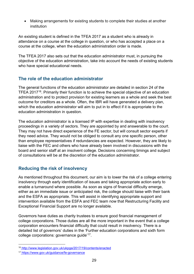• Making arrangements for existing students to complete their studies at another institution

An existing student is defined in the TFEA 2017 as a student who is already in attendance on a course at the college in question, or who has accepted a place on a course at the college, when the education administration order is made.

The TFEA 2017 also sets out that the education administrator must, in pursuing the objective of the education administration, take into account the needs of existing students who have special educational needs.

## <span id="page-28-0"></span>**The role of the education administrator**

The general functions of the education administrator are detailed in section 24 of the TFEA 2017<sup>16</sup>. Primarily their function is to achieve the special objective of an education administration and to protect provision for existing learners as a whole and seek the best outcome for creditors as a whole. Often, the IBR will have generated a delivery plan, which the education administrator will aim to put in to effect if it is appropriate to the education administration in question.

The education administrator is a licensed IP with expertise in dealing with insolvency proceedings in a variety of sectors. They are appointed by and answerable to the court. They may not have direct experience of the FE sector, but will consult sector experts if they need advice. They would not be obliged to consult any one specific person, other than employee representatives if redundancies are expected. However, they are likely to liaise with the FEC and others who have already been involved in discussions with the board and senior staff at an insolvent college. Decisions concerning timings and subject of consultations will be at the discretion of the education administrator.

## <span id="page-28-1"></span>**Reducing the risk of insolvency**

As mentioned throughout this document, our aim is to lower the risk of a college entering insolvency through early identification of issues and taking appropriate action early to enable a turnaround where possible. As soon as signs of financial difficulty emerge, either as an immediate issue or anticipated risk, the college should liaise with their bank and the ESFA as appropriate. This will assist in identifying appropriate support and intervention available from the ESFA and FEC team now that Restructuring Facility and Exceptional Financial Support are no longer available.

Governors have duties as charity trustees to ensure good financial management of college corporations. Those duties are all the more important in the event that a college corporation encounters financial difficulty that could result in insolvency. There is a detailed list of governors' duties in the 'Further education corporations and sixth form college corporations: governance guide'[17](#page-28-3).

<span id="page-28-2"></span> $\overline{\phantom{a}}$ <sup>16</sup> <http://www.legislation.gov.uk/ukpga/2017/19/contents/enacted>

<span id="page-28-3"></span><sup>17</sup> <https://www.gov.uk/guidance/fe-governance>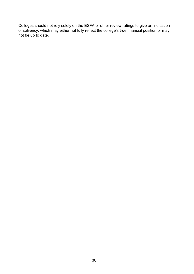Colleges should not rely solely on the ESFA or other review ratings to give an indication of solvency, which may either not fully reflect the college's true financial position or may not be up to date.

 $\overline{\phantom{a}}$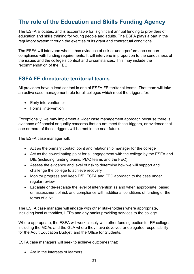# <span id="page-30-0"></span>**The role of the Education and Skills Funding Agency**

The ESFA allocates, and is accountable for, significant annual funding to providers of education and skills training for young people and adults. The ESFA plays a part in the regulatory system through the exercise of its grant and contractual conditions.

The ESFA will intervene when it has evidence of risk or underperformance or noncompliance with funding requirements. It will intervene in proportion to the seriousness of the issues and the college's context and circumstances. This may include the recommendation of the FEC.

## <span id="page-30-1"></span>**ESFA FE directorate territorial teams**

All providers have a lead contact in one of ESFA FE territorial teams. That team will take an active case management role for all colleges which meet the triggers for:

- Early intervention or
- Formal intervention

Exceptionally, we may implement a wider case management approach because there is evidence of financial or quality concerns that do not meet these triggers, or evidence that one or more of these triggers will be met in the near future.

The ESFA case manager will:

- Act as the primary contact point and relationship manager for the college
- Act as the co-ordinating point for all engagement with the college by the ESFA and DfE (including funding teams, PMO teams and the FEC)
- Assess the evidence and level of risk to determine how we will support and challenge the college to achieve recovery
- Monitor progress and keep DfE, ESFA and FEC approach to the case under regular review
- Escalate or de-escalate the level of intervention as and when appropriate, based on assessment of risk and compliance with additional conditions of funding or the terms of a NtI

The ESFA case manager will engage with other stakeholders where appropriate, including local authorities, LEPs and any banks providing services to the college.

Where appropriate, the ESFA will work closely with other funding bodies for FE colleges, including the MCAs and the GLA where they have devolved or delegated responsibility for the Adult Education Budget, and the Office for Students.

ESFA case managers will seek to achieve outcomes that:

• Are in the interests of learners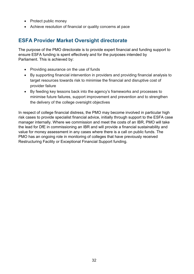- Protect public money
- Achieve resolution of financial or quality concerns at pace

## <span id="page-31-0"></span>**ESFA Provider Market Oversight directorate**

The purpose of the PMO directorate is to provide expert financial and funding support to ensure ESFA funding is spent effectively and for the purposes intended by Parliament. This is achieved by:

- Providing assurance on the use of funds
- By supporting financial intervention in providers and providing financial analysis to target resources towards risk to minimise the financial and disruptive cost of provider failure
- By feeding key lessons back into the agency's frameworks and processes to minimise future failures, support improvement and prevention and to strengthen the delivery of the college oversight objectives

In respect of college financial distress, the PMO may become involved in particular high risk cases to provide specialist financial advice, initially through support to the ESFA case manager internally. Where we commission and meet the costs of an IBR, PMO will take the lead for DfE in commissioning an IBR and will provide a financial sustainability and value for money assessment in any cases where there is a call on public funds. The PMO has an ongoing role in monitoring of colleges that have previously received Restructuring Facility or Exceptional Financial Support funding.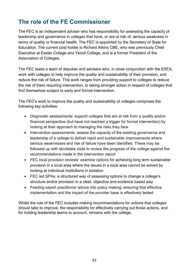# <span id="page-32-0"></span>**The role of the FE Commissioner**

The FEC is an independent adviser who has responsibility for assessing the capacity of leadership and governance in colleges that have, or are at risk of, serious weakness in terms of quality or financial health. The FEC is appointed by the Secretary of State for Education. The current post holder is Richard Atkins CBE, who was previously Chief Executive at Exeter College and Yeovil College, and is a former President of the Association of Colleges.

The FEC leads a team of deputies and advisers who, in close conjunction with the ESFA, work with colleges to help improve the quality and sustainability of their provision, and reduce the risk of failure. This work ranges from providing support to colleges to reduce the risk of them requiring intervention, to taking stronger action in respect of colleges that find themselves subject to early and formal intervention.

The FEC's work to improve the quality and sustainability of colleges comprises the following key activities:

- Diagnostic assessments: support colleges that are at risk from a quality and/or financial perspective (but have not reached a trigger for formal intervention) by looking at their approach to managing the risks they face
- Intervention assessments: assess the capacity of the existing governance and leadership of a college to deliver rapid and sustainable improvements where serious weaknesses and risk of failure have been identified. These may be followed up with stocktake visits to review the progress of the college against the recommendations made in the intervention report
- FEC local provision reviews: examine options for achieving long term sustainable provision in a local area where the issues in a local area cannot be solved by looking at individual institutions in isolation
- FEC led SPAs: a structured way of assessing options to change a college's structure and/or provision in a clear, objective and evidence based way
- Feeding expert practitioner advice into policy making: ensuring that effective implementation and the impact of the provider base is effectively tested

Whilst the role of the FEC includes making recommendations for actions that colleges should take to improve, the responsibility for effectively carrying out those actions, and for holding leadership teams to account, remains with the college.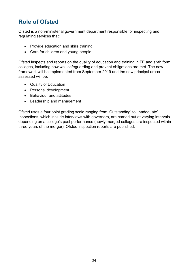# <span id="page-33-0"></span>**Role of Ofsted**

Ofsted is a non-ministerial government department responsible for inspecting and regulating services that:

- Provide education and skills training
- Care for children and young people

Ofsted inspects and reports on the quality of education and training in FE and sixth form colleges, including how well safeguarding and prevent obligations are met. The new framework will be implemented from September 2019 and the new principal areas assessed will be:

- Quality of Education
- Personal development
- Behaviour and attitudes
- Leadership and management

Ofsted uses a four point grading scale ranging from 'Outstanding' to 'Inadequate'. Inspections, which include interviews with governors, are carried out at varying intervals depending on a college's past performance (newly merged colleges are inspected within three years of the merger). Ofsted inspection reports are published.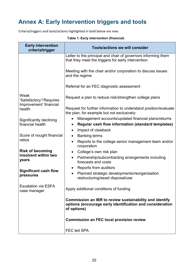# <span id="page-34-0"></span>**Annex A: Early Intervention triggers and tools**

Criteria/triggers and tools/actions highlighted in bold below are new.

| <b>Early intervention</b><br>criteria/trigger              | <b>Tools/actions we will consider</b>                                                                                               |  |
|------------------------------------------------------------|-------------------------------------------------------------------------------------------------------------------------------------|--|
|                                                            | Letter to the principal and chair of governors informing them<br>that they meet the triggers for early intervention                 |  |
|                                                            | Meeting with the chair and/or corporation to discuss issues<br>and the regime                                                       |  |
|                                                            | Referral for an FEC diagnostic assessment                                                                                           |  |
| Weak<br>'Satisfactory'/'Requires<br>Improvement' financial | Request a plan to reduce risk/strengthen college plans                                                                              |  |
| health                                                     | Request for further information to understand position/evaluate<br>the plan, for example but not exclusively:                       |  |
| Significantly declining                                    | Management accounts/updated financial plans/returns                                                                                 |  |
| financial health                                           | <b>Regular cash flow information (standard templates)</b><br>٠                                                                      |  |
|                                                            | Impact of clawback<br>$\bullet$                                                                                                     |  |
| Score of nought financial                                  | <b>Banking terms</b><br>$\bullet$                                                                                                   |  |
| ratios                                                     | Reports to the college senior management team and/or<br>corporation                                                                 |  |
| <b>Risk of becoming</b>                                    | College's own risk plan<br>$\bullet$                                                                                                |  |
| insolvent within two<br>years                              | Partnership/subcontracting arrangements including<br>$\bullet$<br>forecasts and costs                                               |  |
|                                                            | Reports from auditors                                                                                                               |  |
| <b>Significant cash flow</b><br>pressures                  | Planned strategic developments/reorganisation<br>$\bullet$<br>restructuring/asset disposal/use                                      |  |
| <b>Escalation via ESFA</b><br>case manager                 | Apply additional conditions of funding                                                                                              |  |
|                                                            | Commission an IBR to review sustainability and identify<br>options (encourage early identification and consideration<br>of options) |  |
|                                                            | <b>Commission an FEC local provision review</b>                                                                                     |  |
|                                                            | <b>FEC led SPA</b>                                                                                                                  |  |

#### **Table 1: Early intervention (financial)**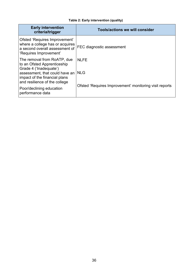#### **Table 2: Early intervention (quality)**

| <b>Early intervention</b><br>criteria/trigger                                                                                                                                                                                            | <b>Tools/actions we will consider</b>                                               |
|------------------------------------------------------------------------------------------------------------------------------------------------------------------------------------------------------------------------------------------|-------------------------------------------------------------------------------------|
| Ofsted 'Requires Improvement'<br>where a college has or acquires<br>a second overall assessment of<br>'Requires Improvement'                                                                                                             | FEC diagnostic assessment                                                           |
| The removal from RoATP, due<br>to an Ofsted Apprenticeship<br>Grade 4 ('Inadequate')<br>assessment, that could have an<br>impact of the financial plans<br>and resilience of the college<br>Poor/declining education<br>performance data | <b>NLFE</b><br><b>NLG</b><br>Ofsted 'Requires Improvement' monitoring visit reports |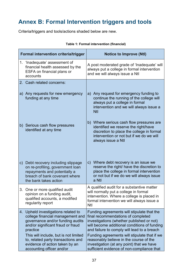# <span id="page-36-0"></span>**Annex B: Formal Intervention triggers and tools**

Criteria/triggers and tools/actions shaded below are new.

| <b>Formal intervention criteria/trigger</b> |                                                                                                                                                                                                                                                                                                         | <b>Notice to Improve (Ntl)</b>                                                                                                                                                                                                                                                                                                                                                                                     |  |
|---------------------------------------------|---------------------------------------------------------------------------------------------------------------------------------------------------------------------------------------------------------------------------------------------------------------------------------------------------------|--------------------------------------------------------------------------------------------------------------------------------------------------------------------------------------------------------------------------------------------------------------------------------------------------------------------------------------------------------------------------------------------------------------------|--|
|                                             | 1. 'Inadequate' assessment of<br>financial health assessed by the<br>ESFA on financial plans or<br>accounts                                                                                                                                                                                             | A post moderated grade of 'Inadequate' will<br>always put a college in formal intervention<br>and we will always issue a Ntl                                                                                                                                                                                                                                                                                       |  |
|                                             | 2. Cash related concerns:                                                                                                                                                                                                                                                                               |                                                                                                                                                                                                                                                                                                                                                                                                                    |  |
|                                             | a) Any requests for new emergency<br>funding at any time                                                                                                                                                                                                                                                | a) Any request for emergency funding to<br>continue the running of the college will<br>always put a college in formal<br>intervention and we will always issue a<br><b>Ntl</b>                                                                                                                                                                                                                                     |  |
|                                             | b) Serious cash flow pressures<br>identified at any time                                                                                                                                                                                                                                                | b) Where serious cash flow pressures are<br>identified we reserve the right/have<br>discretion to place the college in formal<br>intervention or not but if we do we will<br>always issue a Ntl                                                                                                                                                                                                                    |  |
| C)                                          | Debt recovery including slippage<br>on re-profiling, government loan<br>repayments and potentially a<br>breach of bank covenant where<br>the bank takes action                                                                                                                                          | c) Where debt recovery is an issue we<br>reserve the right/ have the discretion to<br>place the college in formal intervention<br>or not but if we do we will always issue<br>a Ntl                                                                                                                                                                                                                                |  |
|                                             | 3. One or more qualified audit<br>opinion on a funding audit,<br>qualified accounts, a modified<br>regularity report                                                                                                                                                                                    | A qualified audit for a substantive matter<br>will normally put a college in formal<br>intervention. Where a college is placed in<br>formal intervention we will always issue a<br><b>Ntl</b>                                                                                                                                                                                                                      |  |
| 4.                                          | Upheld investigations related to<br>college financial management and<br>governance and/or funding audits<br>and/or significant fraud or fraud<br>practice<br>This will include, but is not limited<br>to, related party transactions and<br>evidence of action taken by an<br>accounting officer and/or | Funding agreements will stipulate that the<br>final recommendations of completed<br>investigations (whether published or not)<br>will become additional conditions of funding<br>and failure to comply will lead to a breach<br>Funding agreements will stipulate that if we<br>reasonably believe in the course of the<br>investigation (at any point) that we have<br>sufficient evidence of non-compliance that |  |

#### **Table 1: Formal intervention (financial)**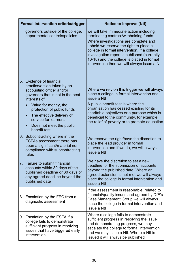| <b>Formal intervention criteria/trigger</b>                                                                                                                                                                                                                                                                    | <b>Notice to Improve (Ntl)</b>                                                                                                                                                                                                                                                                                                                                     |
|----------------------------------------------------------------------------------------------------------------------------------------------------------------------------------------------------------------------------------------------------------------------------------------------------------------|--------------------------------------------------------------------------------------------------------------------------------------------------------------------------------------------------------------------------------------------------------------------------------------------------------------------------------------------------------------------|
| governors outside of the college,<br>departmental controls/policies                                                                                                                                                                                                                                            | we will take immediate action including<br>terminating contract/withholding funds<br>Where investigations are complete and<br>upheld we reserve the right to place a<br>college in formal intervention. If a college<br>investigation report is published (currently<br>16-18) and the college is placed in formal<br>intervention then we will always issue a Ntl |
| 5. Evidence of financial<br>practice/action taken by an<br>accounting officer and/or<br>governors that is not in the best<br>interests of:<br>Value for money, the<br>protection of public funds<br>The effective delivery of<br>$\bullet$<br>service for learners<br>Does not meet the public<br>benefit test | Where we rely on this trigger we will always<br>place a college in formal intervention and<br>issue a Ntl<br>A public benefit test is where the<br>organisation has ceased existing for its<br>charitable objectives or a purpose which is<br>beneficial to the community, for example,<br>the relief of poverty or to promote education                           |
| 6. Subcontracting where in the<br><b>ESFAs assessment there has</b><br>been a significant/material non-<br>compliance with subcontracting<br>rules                                                                                                                                                             | We reserve the right/have the discretion to<br>place the lead provider in formal<br>intervention and if we do, we will always<br>issue a Ntl                                                                                                                                                                                                                       |
| 7. Failure to submit financial<br>accounts within 30 days of the<br>published deadline or 30 days of<br>any agreed deadline beyond the<br>published date                                                                                                                                                       | We have the discretion to set a new<br>deadline for the submission of accounts<br>beyond the published date. Where an<br>agreed extension is not met we will always<br>place the college in formal intervention and<br>issue a Ntl                                                                                                                                 |
| 8. Escalation by the FEC from a<br>diagnostic assessment                                                                                                                                                                                                                                                       | If the assessment is reasonable, related to<br>financial/quality issues and agreed by DfE's<br>Case Management Group we will always<br>place the college in formal intervention and<br>issue a Ntl                                                                                                                                                                 |
| 9. Escalation by the ESFA if a<br>college fails to demonstrate<br>sufficient progress in resolving<br>issues that have triggered early<br>intervention                                                                                                                                                         | Where a college fails to demonstrate<br>sufficient progress in resolving the issue<br>and demonstrating progress, we may<br>escalate the college to formal intervention<br>and we may issue a Ntl. Where a Ntl is<br>issued it will always be published                                                                                                            |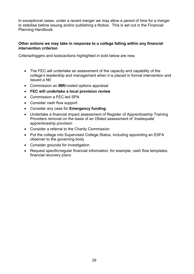In exceptional cases, under a recent merger we may allow a period of time for a merger to stabilise before issuing and/or publishing a Notice. This is set out in the Financial Planning Handbook.

#### **Other actions we may take in response to a college falling within any financial intervention criterion**

Criteria/triggers and tools/actions highlighted in bold below are new.

- The FEC will undertake an assessment of the capacity and capability of the college's leadership and management when it is placed in formal intervention and issued a NtI
- Commission an **IBR**/costed options appraisal
- **FEC will undertake a local provision review**
- Commission a FEC-led SPA
- Consider cash flow support
- Consider any case for **Emergency funding**
- Undertake a financial impact assessment of Register of Apprenticeship Training Providers removal on the basis of an Ofsted assessment of 'Inadequate' apprenticeship provision
- Consider a referral to the Charity Commission
- Put the college into Supervised College Status, including appointing an ESFA observer to the governing body
- Consider grounds for investigation
- Request specific/regular financial information, for example, cash flow templates, financial recovery plans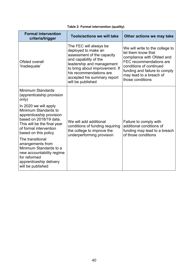| <b>Formal intervention</b><br>criteria/trigger                                                                                                                                       | <b>Tools/actions we will take</b>                                                                                                                                                                                                                  | Other actions we may take                                                                                                                                                                                                 |
|--------------------------------------------------------------------------------------------------------------------------------------------------------------------------------------|----------------------------------------------------------------------------------------------------------------------------------------------------------------------------------------------------------------------------------------------------|---------------------------------------------------------------------------------------------------------------------------------------------------------------------------------------------------------------------------|
| Ofsted overall<br>'Inadequate'                                                                                                                                                       | The FEC will always be<br>deployed to make an<br>assessment of the capacity<br>and capability of the<br>leadership and management<br>to bring about improvement. If<br>his recommendations are<br>accepted his summary report<br>will be published | We will write to the college to<br>let them know that<br>compliance with Ofsted and<br>FEC recommendations are<br>conditions of continued<br>funding and failure to comply<br>may lead to a breach of<br>those conditions |
| Minimum Standards<br>(apprenticeship provision<br>only)                                                                                                                              |                                                                                                                                                                                                                                                    | Failure to comply with<br>additional conditions of<br>funding may lead to a breach<br>of those conditions                                                                                                                 |
| In 2020 we will apply<br>Minimum Standards to<br>apprenticeship provision<br>based on 2018/19 data.<br>This will be the final year<br>of formal intervention<br>based on this policy | We will add additional<br>conditions of funding requiring<br>the college to improve the<br>underperforming provision                                                                                                                               |                                                                                                                                                                                                                           |
| The transitional<br>arrangements from<br>Minimum Standards to a<br>new accountability regime<br>for reformed<br>apprenticeship delivery<br>will be published                         |                                                                                                                                                                                                                                                    |                                                                                                                                                                                                                           |

#### **Table 2: Formal intervention (quality)**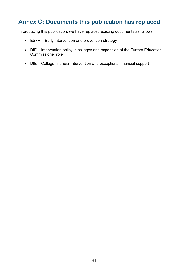# <span id="page-40-0"></span>**Annex C: Documents this publication has replaced**

In producing this publication, we have replaced existing documents as follows:

- ESFA Early intervention and prevention strategy
- DfE Intervention policy in colleges and expansion of the Further Education Commissioner role
- DfE College financial intervention and exceptional financial support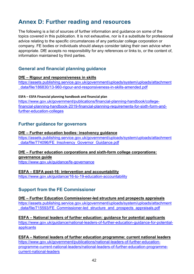# <span id="page-41-0"></span>**Annex D: Further reading and resources**

The following is a list of sources of further information and guidance on some of the topics covered in this publication. It is not exhaustive, nor is it a substitute for professional advice relating to the specific circumstances of any particular college corporation or company. FE bodies or individuals should always consider taking their own advice when appropriate. DfE accepts no responsibility for any references or links to, or the content of, information maintained by third parties.

## <span id="page-41-1"></span>**General and financial planning guidance**

#### **DfE – Rigour and responsiveness in skills**

[https://assets.publishing.service.gov.uk/government/uploads/system/uploads/attachment](https://assets.publishing.service.gov.uk/government/uploads/system/uploads/attachment_data/file/186830/13-960-rigour-and-responsiveness-in-skills-amended.pdf) [\\_data/file/186830/13-960-rigour-and-responsiveness-in-skills-amended.pdf](https://assets.publishing.service.gov.uk/government/uploads/system/uploads/attachment_data/file/186830/13-960-rigour-and-responsiveness-in-skills-amended.pdf)

#### **ESFA – ESFA Financial planning handbook and financial plan**

[https://www.gov.uk/government/publications/financial-planning-handbook/college](https://www.gov.uk/government/publications/financial-planning-handbook/college-financial-planning-handbook-2019-financial-planning-requirements-for-sixth-form-and-further-education-colleges)[financial-planning-handbook-2019-financial-planning-requirements-for-sixth-form-and](https://www.gov.uk/government/publications/financial-planning-handbook/college-financial-planning-handbook-2019-financial-planning-requirements-for-sixth-form-and-further-education-colleges)[further-education-colleges](https://www.gov.uk/government/publications/financial-planning-handbook/college-financial-planning-handbook-2019-financial-planning-requirements-for-sixth-form-and-further-education-colleges)

#### <span id="page-41-2"></span>**Further guidance for governors**

#### **DfE – Further education bodies: insolvency guidance**

[https://assets.publishing.service.gov.uk/government/uploads/system/uploads/attachment](https://assets.publishing.service.gov.uk/government/uploads/system/uploads/attachment_data/file/774096/FE_Insolvency_Governor_Guidance.pdf) [\\_data/file/774096/FE\\_Insolvency\\_Governor\\_Guidance.pdf](https://assets.publishing.service.gov.uk/government/uploads/system/uploads/attachment_data/file/774096/FE_Insolvency_Governor_Guidance.pdf)

#### **DfE – Further education corporations and sixth-form college corporations: governance guide**

<https://www.gov.uk/guidance/fe-governance>

#### **ESFA – ESFA post-16: intervention and accountability**

<span id="page-41-3"></span><https://www.gov.uk/guidance/16-to-19-education-accountability>

## **Support from the FE Commissioner**

#### **DfE – Further Education Commissioner-led structure and prospects appraisals**

[https://assets.publishing.service.gov.uk/government/uploads/system/uploads/attachment](https://assets.publishing.service.gov.uk/government/uploads/system/uploads/attachment_data/file/715593/FE_Commissioner-led_structure_and_prospects_appraisals.pdf) data/file/715593/FE\_Commissioner-led\_structure\_and\_prospects\_appraisals.pdf

#### **ESFA – National leaders of further education: guidance for potential applicants**

[https://www.gov.uk/guidance/national-leaders-of-further-education-guidance-for-potential](https://www.gov.uk/guidance/national-leaders-of-further-education-guidance-for-potential-applicants)[applicants](https://www.gov.uk/guidance/national-leaders-of-further-education-guidance-for-potential-applicants)

**ESFA – National leaders of further education programme: current national leaders** [https://www.gov.uk/government/publications/national-leaders-of-further-education](https://www.gov.uk/government/publications/national-leaders-of-further-education-programme-current-national-leaders/national-leaders-of-further-education-programme-current-national-leaders)[programme-current-national-leaders/national-leaders-of-further-education-programme](https://www.gov.uk/government/publications/national-leaders-of-further-education-programme-current-national-leaders/national-leaders-of-further-education-programme-current-national-leaders)[current-national-leaders](https://www.gov.uk/government/publications/national-leaders-of-further-education-programme-current-national-leaders/national-leaders-of-further-education-programme-current-national-leaders)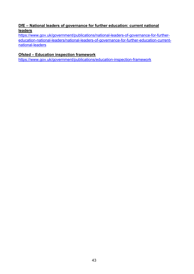#### **DfE – National leaders of governance for further education: current national leaders**

[https://www.gov.uk/government/publications/national-leaders-of-governance-for-further](https://www.gov.uk/government/publications/national-leaders-of-governance-for-further-education-national-leaders/national-leaders-of-governance-for-further-education-current-national-leaders)[education-national-leaders/national-leaders-of-governance-for-further-education-current](https://www.gov.uk/government/publications/national-leaders-of-governance-for-further-education-national-leaders/national-leaders-of-governance-for-further-education-current-national-leaders)[national-leaders](https://www.gov.uk/government/publications/national-leaders-of-governance-for-further-education-national-leaders/national-leaders-of-governance-for-further-education-current-national-leaders)

#### **Ofsted – Education inspection framework**

<https://www.gov.uk/government/publications/education-inspection-framework>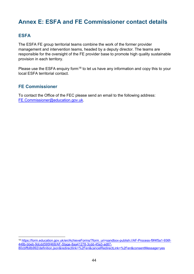# <span id="page-43-0"></span>**Annex E: ESFA and FE Commissioner contact details**

#### <span id="page-43-1"></span>**ESFA**

<u>.</u>

The ESFA FE group territorial teams combine the work of the former provider management and intervention teams, headed by a deputy director. The teams are responsible for the oversight of the FE provider base to promote high quality sustainable provision in each territory.

Please use the ESFA enquiry form<sup>[18](#page-43-3)</sup> to let us have any information and copy this to your local ESFA territorial contact.

#### <span id="page-43-2"></span>**FE Commissioner**

To contact the Office of the FEC please send an email to the following address: [FE.Commissioner@education.gov.uk.](mailto:FE.Commissioner@education.gov.uk)

<span id="page-43-3"></span><sup>18</sup> [https://form.education.gov.uk/en/AchieveForms/?form\\_uri=sandbox-publish://AF-Process-f9f4f5a1-936f-](https://form.education.gov.uk/en/AchieveForms/?form_uri=sandbox-publish://AF-Process-f9f4f5a1-936f-448b-bbeb-9dcdd595f468/AF-Stage-8aa41278-3cdd-45a3-ad87-80cbffb8b992/definition.json&redirectlink=%2Fen&cancelRedirectLink=%2Fen&consentMessage=yes)[448b-bbeb-9dcdd595f468/AF-Stage-8aa41278-3cdd-45a3-ad87-](https://form.education.gov.uk/en/AchieveForms/?form_uri=sandbox-publish://AF-Process-f9f4f5a1-936f-448b-bbeb-9dcdd595f468/AF-Stage-8aa41278-3cdd-45a3-ad87-80cbffb8b992/definition.json&redirectlink=%2Fen&cancelRedirectLink=%2Fen&consentMessage=yes) [80cbffb8b992/definition.json&redirectlink=%2Fen&cancelRedirectLink=%2Fen&consentMessage=yes](https://form.education.gov.uk/en/AchieveForms/?form_uri=sandbox-publish://AF-Process-f9f4f5a1-936f-448b-bbeb-9dcdd595f468/AF-Stage-8aa41278-3cdd-45a3-ad87-80cbffb8b992/definition.json&redirectlink=%2Fen&cancelRedirectLink=%2Fen&consentMessage=yes)